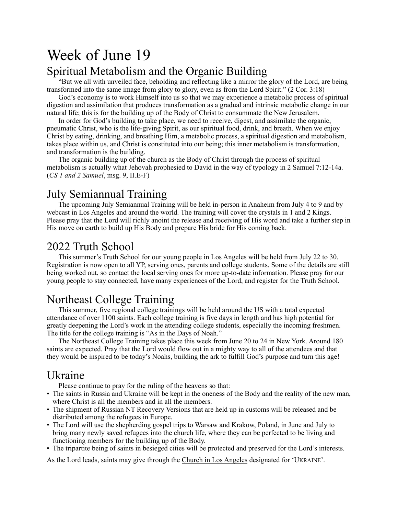# Week of June 19

# Spiritual Metabolism and the Organic Building

"But we all with unveiled face, beholding and reflecting like a mirror the glory of the Lord, are being transformed into the same image from glory to glory, even as from the Lord Spirit." (2 Cor. 3:18)

God's economy is to work Himself into us so that we may experience a metabolic process of spiritual digestion and assimilation that produces transformation as a gradual and intrinsic metabolic change in our natural life; this is for the building up of the Body of Christ to consummate the New Jerusalem.

In order for God's building to take place, we need to receive, digest, and assimilate the organic, pneumatic Christ, who is the life-giving Spirit, as our spiritual food, drink, and breath. When we enjoy Christ by eating, drinking, and breathing Him, a metabolic process, a spiritual digestion and metabolism, takes place within us, and Christ is constituted into our being; this inner metabolism is transformation, and transformation is the building.

The organic building up of the church as the Body of Christ through the process of spiritual metabolism is actually what Jehovah prophesied to David in the way of typology in 2 Samuel 7:12-14a. (*CS 1 and 2 Samuel*, msg. 9, II.E-F)

#### July Semiannual Training

The upcoming July Semiannual Training will be held in-person in Anaheim from July 4 to 9 and by webcast in Los Angeles and around the world. The training will cover the crystals in 1 and 2 Kings. Please pray that the Lord will richly anoint the release and receiving of His word and take a further step in His move on earth to build up His Body and prepare His bride for His coming back.

### 2022 Truth School

This summer's Truth School for our young people in Los Angeles will be held from July 22 to 30. Registration is now open to all YP, serving ones, parents and college students. Some of the details are still being worked out, so contact the local serving ones for more up-to-date information. Please pray for our young people to stay connected, have many experiences of the Lord, and register for the Truth School.

# Northeast College Training

This summer, five regional college trainings will be held around the US with a total expected attendance of over 1100 saints. Each college training is five days in length and has high potential for greatly deepening the Lord's work in the attending college students, especially the incoming freshmen. The title for the college training is "As in the Days of Noah."

The Northeast College Training takes place this week from June 20 to 24 in New York. Around 180 saints are expected. Pray that the Lord would flow out in a mighty way to all of the attendees and that they would be inspired to be today's Noahs, building the ark to fulfill God's purpose and turn this age!

# Ukraine

Please continue to pray for the ruling of the heavens so that:

- The saints in Russia and Ukraine will be kept in the oneness of the Body and the reality of the new man, where Christ is all the members and in all the members.
- The shipment of Russian NT Recovery Versions that are held up in customs will be released and be distributed among the refugees in Europe.
- The Lord will use the shepherding gospel trips to Warsaw and Krakow, Poland, in June and July to bring many newly saved refugees into the church life, where they can be perfected to be living and functioning members for the building up of the Body.
- The tripartite being of saints in besieged cities will be protected and preserved for the Lord's interests.

As the Lord leads, saints may give through the [Church in Los Angeles](https://www.churchinlosangeles.org/members/offerings/) designated for 'UKRAINE'.